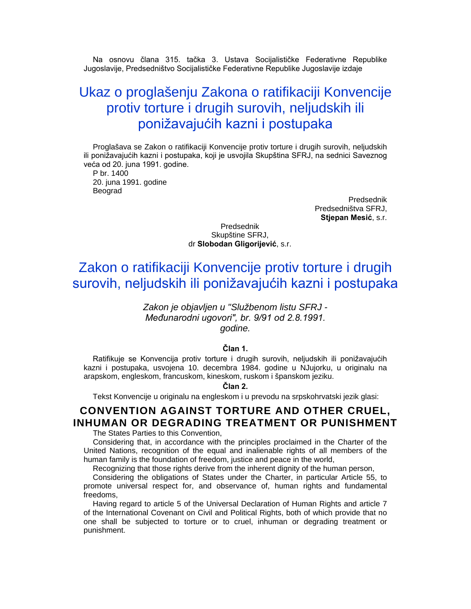Na osnovu člana 315. tačka 3. Ustava Socijalističke Federativne Republike Jugoslavije, Predsedništvo Socijalističke Federativne Republike Jugoslavije izdaje

# Ukaz o proglašenju Zakona o ratifikaciji Konvencije protiv torture i drugih surovih, neljudskih ili ponižavajućih kazni i postupaka

Proglašava se Zakon o ratifikaciji Konvencije protiv torture i drugih surovih, neljudskih ili ponižavajućih kazni i postupaka, koji je usvojila Skupština SFRJ, na sednici Saveznog veća od 20. juna 1991. godine.

P br. 1400 20. juna 1991. godine Beograd

> Predsednik Predsedništva SFRJ, **Stjepan Mesić**, s.r.

Predsednik Skupštine SFRJ, dr **Slobodan Gligorijević**, s.r.

# Zakon o ratifikaciji Konvencije protiv torture i drugih surovih, neljudskih ili ponižavajućih kazni i postupaka

*Zakon je objavljen u "Službenom listu SFRJ - Međunarodni ugovori", br. 9/91 od 2.8.1991. godine.*

# **Član 1.**

Ratifikuje se Konvencija protiv torture i drugih surovih, neljudskih ili ponižavajućih kazni i postupaka, usvojena 10. decembra 1984. godine u NJujorku, u originalu na arapskom, engleskom, francuskom, kineskom, ruskom i španskom jeziku.

**Član 2.**

Tekst Konvencije u originalu na engleskom i u prevodu na srpskohrvatski jezik glasi:

# **CONVENTION AGAINST TORTURE AND OTHER CRUEL, INHUMAN OR DEGRADING TREATMENT OR PUNISHMENT**

The States Parties to this Convention,

Considering that, in accordance with the principles proclaimed in the Charter of the United Nations, recognition of the equal and inalienable rights of all members of the human family is the foundation of freedom, justice and peace in the world,

Recognizing that those rights derive from the inherent dignity of the human person,

Considering the obligations of States under the Charter, in particular Article 55, to promote universal respect for, and observance of, human rights and fundamental freedoms,

Having regard to article 5 of the Universal Declaration of Human Rights and article 7 of the International Covenant on Civil and Political Rights, both of which provide that no one shall be subjected to torture or to cruel, inhuman or degrading treatment or punishment.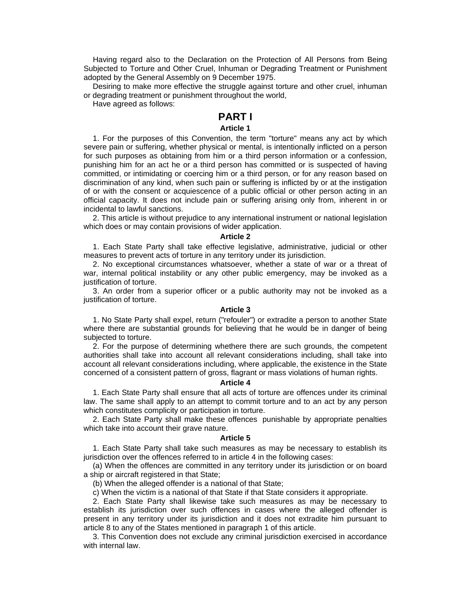Having regard also to the Declaration on the Protection of All Persons from Being Subjected to Torture and Other Cruel, Inhuman or Degrading Treatment or Punishment adopted by the General Assembly on 9 December 1975.

Desiring to make more effective the struggle against torture and other cruel, inhuman or degrading treatment or punishment throughout the world,

Have agreed as follows:

# **PART I**

# **Article 1**

1. For the purposes of this Convention, the term "torture" means any act by which severe pain or suffering, whether physical or mental, is intentionally inflicted on a person for such purposes as obtaining from him or a third person information or a confession, punishing him for an act he or a third person has committed or is suspected of having committed, or intimidating or coercing him or a third person, or for any reason based on discrimination of any kind, when such pain or suffering is inflicted by or at the instigation of or with the consent or acquiescence of a public official or other person acting in an official capacity. It does not include pain or suffering arising only from, inherent in or incidental to lawful sanctions.

2. This article is without prejudice to any international instrument or national legislation which does or may contain provisions of wider application.

### **Article 2**

1. Each State Party shall take effective legislative, administrative, judicial or other measures to prevent acts of torture in any territory under its jurisdiction.

2. No exceptional circumstances whatsoever, whether a state of war or a threat of war, internal political instability or any other public emergency, may be invoked as a justification of torture.

3. An order from a superior officer or a public authority may not be invoked as a justification of torture.

# **Article 3**

1. No State Party shall expel, return ("refouler") or extradite a person to another State where there are substantial grounds for believing that he would be in danger of being subjected to torture.

2. For the purpose of determining whethere there are such grounds, the competent authorities shall take into account all relevant considerations including, shall take into account all relevant considerations including, where applicable, the existence in the State concerned of a consistent pattern of gross, flagrant or mass violations of human rights.

# **Article 4**

1. Each State Party shall ensure that all acts of torture are offences under its criminal law. The same shall apply to an attempt to commit torture and to an act by any person which constitutes complicity or participation in torture.

2. Each State Party shall make these offences punishable by appropriate penalties which take into account their grave nature.

#### **Article 5**

1. Each State Party shall take such measures as may be necessary to establish its jurisdiction over the offences referred to in article 4 in the following cases:

(a) When the offences are committed in any territory under its jurisdiction or on board a ship or aircraft registered in that State;

(b) When the alleged offender is a national of that State;

c) When the victim is a national of that State if that State considers it appropriate.

2. Each State Party shall likewise take such measures as may be necessary to establish its jurisdiction over such offences in cases where the alleged offender is present in any territory under its jurisdiction and it does not extradite him pursuant to article 8 to any of the States mentioned in paragraph 1 of this article.

3. This Convention does not exclude any criminal jurisdiction exercised in accordance with internal law.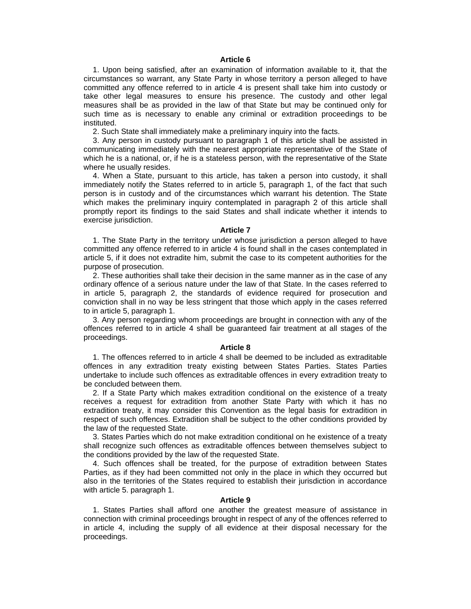# **Article 6**

1. Upon being satisfied, after an examination of information available to it, that the circumstances so warrant, any State Party in whose territory a person alleged to have committed any offence referred to in article 4 is present shall take him into custody or take other legal measures to ensure his presence. The custody and other legal measures shall be as provided in the law of that State but may be continued only for such time as is necessary to enable any criminal or extradition proceedings to be instituted.

2. Such State shall immediately make a preliminary inquiry into the facts.

3. Any person in custody pursuant to paragraph 1 of this article shall be assisted in communicating immediately with the nearest appropriate representative of the State of which he is a national, or, if he is a stateless person, with the representative of the State where he usually resides.

4. When a State, pursuant to this article, has taken a person into custody, it shall immediately notify the States referred to in article 5, paragraph 1, of the fact that such person is in custody and of the circumstances which warrant his detention. The State which makes the preliminary inquiry contemplated in paragraph 2 of this article shall promptly report its findings to the said States and shall indicate whether it intends to exercise jurisdiction.

# **Article 7**

1. The State Party in the territory under whose jurisdiction a person alleged to have committed any offence referred to in article 4 is found shall in the cases contemplated in article 5, if it does not extradite him, submit the case to its competent authorities for the purpose of prosecution.

2. These authorities shall take their decision in the same manner as in the case of any ordinary offence of a serious nature under the law of that State. In the cases referred to in article 5, paragraph 2, the standards of evidence required for prosecution and conviction shall in no way be less stringent that those which apply in the cases referred to in article 5, paragraph 1.

3. Any person regarding whom proceedings are brought in connection with any of the offences referred to in article 4 shall be guaranteed fair treatment at all stages of the proceedings.

### **Article 8**

1. The offences referred to in article 4 shall be deemed to be included as extraditable offences in any extradition treaty existing between States Parties. States Parties undertake to include such offences as extraditable offences in every extradition treaty to be concluded between them.

2. If a State Party which makes extradition conditional on the existence of a treaty receives a request for extradition from another State Party with which it has no extradition treaty, it may consider this Convention as the legal basis for extradition in respect of such offences. Extradition shall be subject to the other conditions provided by the law of the requested State.

3. States Parties which do not make extradition conditional on he existence of a treaty shall recognize such offences as extraditable offences between themselves subject to the conditions provided by the law of the requested State.

4. Such offences shall be treated, for the purpose of extradition between States Parties, as if they had been committed not only in the place in which they occurred but also in the territories of the States required to establish their jurisdiction in accordance with article 5. paragraph 1.

## **Article 9**

1. States Parties shall afford one another the greatest measure of assistance in connection with criminal proceedings brought in respect of any of the offences referred to in article 4, including the supply of all evidence at their disposal necessary for the proceedings.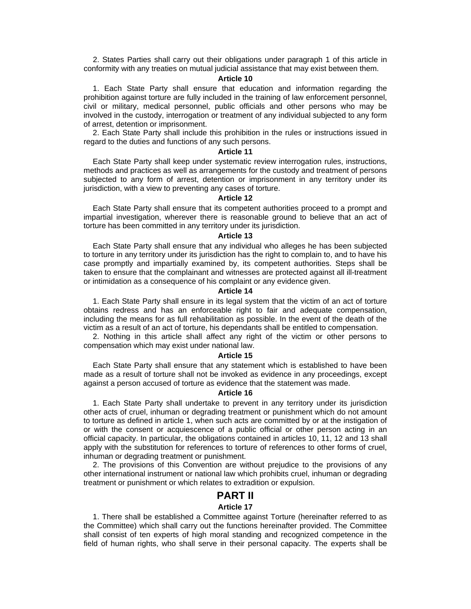2. States Parties shall carry out their obligations under paragraph 1 of this article in conformity with any treaties on mutual judicial assistance that may exist between them.

### **Article 10**

1. Each State Party shall ensure that education and information regarding the prohibition against torture are fully included in the training of law enforcement personnel, civil or military, medical personnel, public officials and other persons who may be involved in the custody, interrogation or treatment of any individual subjected to any form of arrest, detention or imprisonment.

2. Each State Party shall include this prohibition in the rules or instructions issued in regard to the duties and functions of any such persons.

### **Article 11**

Each State Party shall keep under systematic review interrogation rules, instructions, methods and practices as well as arrangements for the custody and treatment of persons subjected to any form of arrest, detention or imprisonment in any territory under its jurisdiction, with a view to preventing any cases of torture.

## **Article 12**

Each State Party shall ensure that its competent authorities proceed to a prompt and impartial investigation, wherever there is reasonable ground to believe that an act of torture has been committed in any territory under its jurisdiction.

### **Article 13**

Each State Party shall ensure that any individual who alleges he has been subjected to torture in any territory under its jurisdiction has the right to complain to, and to have his case promptly and impartially examined by, its competent authorities. Steps shall be taken to ensure that the complainant and witnesses are protected against all ill-treatment or intimidation as a consequence of his complaint or any evidence given.

### **Article 14**

1. Each State Party shall ensure in its legal system that the victim of an act of torture obtains redress and has an enforceable right to fair and adequate compensation, including the means for as full rehabilitation as possible. In the event of the death of the victim as a result of an act of torture, his dependants shall be entitled to compensation.

2. Nothing in this article shall affect any right of the victim or other persons to compensation which may exist under national law.

### **Article 15**

Each State Party shall ensure that any statement which is established to have been made as a result of torture shall not be invoked as evidence in any proceedings, except against a person accused of torture as evidence that the statement was made.

### **Article 16**

1. Each State Party shall undertake to prevent in any territory under its jurisdiction other acts of cruel, inhuman or degrading treatment or punishment which do not amount to torture as defined in article 1, when such acts are committed by or at the instigation of or with the consent or acquiescence of a public official or other person acting in an official capacity. In particular, the obligations contained in articles 10, 11, 12 and 13 shall apply with the substitution for references to torture of references to other forms of cruel, inhuman or degrading treatment or punishment.

2. The provisions of this Convention are without prejudice to the provisions of any other international instrument or national law which prohibits cruel, inhuman or degrading treatment or punishment or which relates to extradition or expulsion.

# **PART II**

### **Article 17**

1. There shall be established a Committee against Torture (hereinafter referred to as the Committee) which shall carry out the functions hereinafter provided. The Committee shall consist of ten experts of high moral standing and recognized competence in the field of human rights, who shall serve in their personal capacity. The experts shall be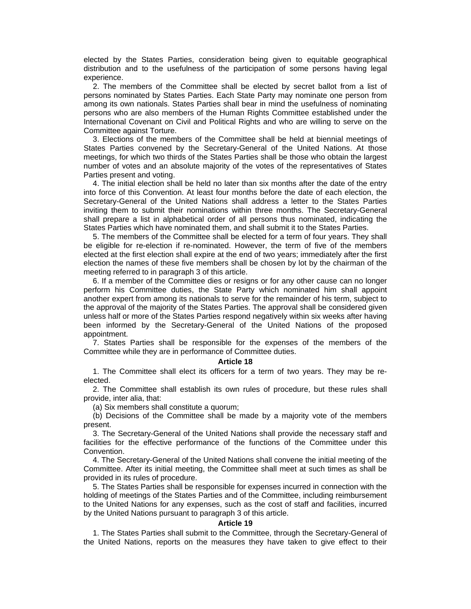elected by the States Parties, consideration being given to equitable geographical distribution and to the usefulness of the participation of some persons having legal experience.

2. The members of the Committee shall be elected by secret ballot from a list of persons nominated by States Parties. Each State Party may nominate one person from among its own nationals. States Parties shall bear in mind the usefulness of nominating persons who are also members of the Human Rights Committee established under the International Covenant on Civil and Political Rights and who are willing to serve on the Committee against Torture.

3. Elections of the members of the Committee shall be held at biennial meetings of States Parties convened by the Secretary-General of the United Nations. At those meetings, for which two thirds of the States Parties shall be those who obtain the largest number of votes and an absolute majority of the votes of the representatives of States Parties present and voting.

4. The initial election shall be held no later than six months after the date of the entry into force of this Convention. At least four months before the date of each election, the Secretary-General of the United Nations shall address a letter to the States Parties inviting them to submit their nominations within three months. The Secretary-General shall prepare a list in alphabetical order of all persons thus nominated, indicating the States Parties which have nominated them, and shall submit it to the States Parties.

5. The members of the Committee shall be elected for a term of four years. They shall be eligible for re-election if re-nominated. However, the term of five of the members elected at the first election shall expire at the end of two years; immediately after the first election the names of these five members shall be chosen by lot by the chairman of the meeting referred to in paragraph 3 of this article.

6. If a member of the Committee dies or resigns or for any other cause can no longer perform his Committee duties, the State Party which nominated him shall appoint another expert from among its nationals to serve for the remainder of his term, subject to the approval of the majority of the States Parties. The approval shall be considered given unless half or more of the States Parties respond negatively within six weeks after having been informed by the Secretary-General of the United Nations of the proposed appointment.

7. States Parties shall be responsible for the expenses of the members of the Committee while they are in performance of Committee duties.

#### **Article 18**

1. The Committee shall elect its officers for a term of two years. They may be reelected.

2. The Committee shall establish its own rules of procedure, but these rules shall provide, inter alia, that:

(a) Six members shall constitute a quorum;

(b) Decisions of the Committee shall be made by a majority vote of the members present.

3. The Secretary-General of the United Nations shall provide the necessary staff and facilities for the effective performance of the functions of the Committee under this Convention.

4. The Secretary-General of the United Nations shall convene the initial meeting of the Committee. After its initial meeting, the Committee shall meet at such times as shall be provided in its rules of procedure.

5. The States Parties shall be responsible for expenses incurred in connection with the holding of meetings of the States Parties and of the Committee, including reimbursement to the United Nations for any expenses, such as the cost of staff and facilities, incurred by the United Nations pursuant to paragraph 3 of this article.

### **Article 19**

1. The States Parties shall submit to the Committee, through the Secretary-General of the United Nations, reports on the measures they have taken to give effect to their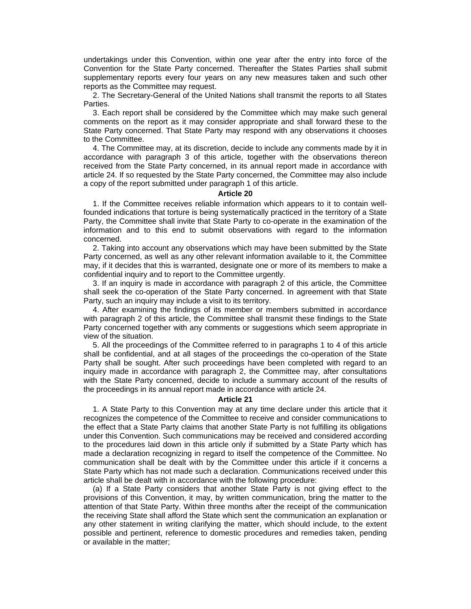undertakings under this Convention, within one year after the entry into force of the Convention for the State Party concerned. Thereafter the States Parties shall submit supplementary reports every four years on any new measures taken and such other reports as the Committee may request.

2. The Secretary-General of the United Nations shall transmit the reports to all States Parties.

3. Each report shall be considered by the Committee which may make such general comments on the report as it may consider appropriate and shall forward these to the State Party concerned. That State Party may respond with any observations it chooses to the Committee.

4. The Committee may, at its discretion, decide to include any comments made by it in accordance with paragraph 3 of this article, together with the observations thereon received from the State Party concerned, in its annual report made in accordance with article 24. If so requested by the State Party concerned, the Committee may also include a copy of the report submitted under paragraph 1 of this article.

### **Article 20**

1. If the Committee receives reliable information which appears to it to contain wellfounded indications that torture is being systematically practiced in the territory of a State Party, the Committee shall invite that State Party to co-operate in the examination of the information and to this end to submit observations with regard to the information concerned.

2. Taking into account any observations which may have been submitted by the State Party concerned, as well as any other relevant information available to it, the Committee may, if it decides that this is warranted, designate one or more of its members to make a confidential inquiry and to report to the Committee urgently.

3. If an inquiry is made in accordance with paragraph 2 of this article, the Committee shall seek the co-operation of the State Party concerned. In agreement with that State Party, such an inquiry may include a visit to its territory.

4. After examining the findings of its member or members submitted in accordance with paragraph 2 of this article, the Committee shall transmit these findings to the State Party concerned together with any comments or suggestions which seem appropriate in view of the situation.

5. All the proceedings of the Committee referred to in paragraphs 1 to 4 of this article shall be confidential, and at all stages of the proceedings the co-operation of the State Party shall be sought. After such proceedings have been completed with regard to an inquiry made in accordance with paragraph 2, the Committee may, after consultations with the State Party concerned, decide to include a summary account of the results of the proceedings in its annual report made in accordance with article 24.

### **Article 21**

1. A State Party to this Convention may at any time declare under this article that it recognizes the competence of the Committee to receive and consider communications to the effect that a State Party claims that another State Party is not fulfilling its obligations under this Convention. Such communications may be received and considered according to the procedures laid down in this article only if submitted by a State Party which has made a declaration recognizing in regard to itself the competence of the Committee. No communication shall be dealt with by the Committee under this article if it concerns a State Party which has not made such a declaration. Communications received under this article shall be dealt with in accordance with the following procedure:

(a) If a State Party considers that another State Party is not giving effect to the provisions of this Convention, it may, by written communication, bring the matter to the attention of that State Party. Within three months after the receipt of the communication the receiving State shall afford the State which sent the communication an explanation or any other statement in writing clarifying the matter, which should include, to the extent possible and pertinent, reference to domestic procedures and remedies taken, pending or available in the matter;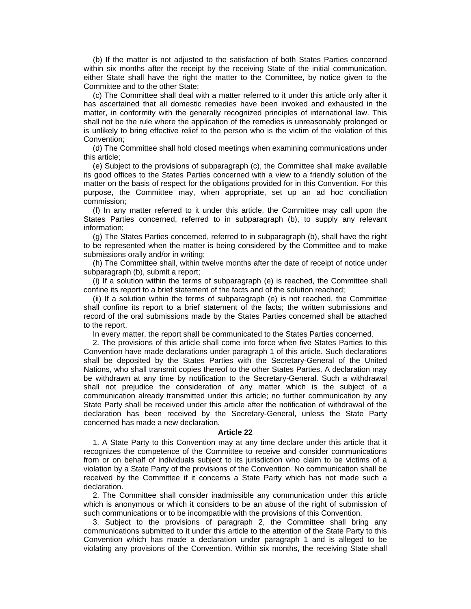(b) If the matter is not adjusted to the satisfaction of both States Parties concerned within six months after the receipt by the receiving State of the initial communication, either State shall have the right the matter to the Committee, by notice given to the Committee and to the other State;

(c) The Committee shall deal with a matter referred to it under this article only after it has ascertained that all domestic remedies have been invoked and exhausted in the matter, in conformity with the generally recognized principles of international law. This shall not be the rule where the application of the remedies is unreasonably prolonged or is unlikely to bring effective relief to the person who is the victim of the violation of this Convention;

(d) The Committee shall hold closed meetings when examining communications under this article;

(e) Subject to the provisions of subparagraph (c), the Committee shall make available its good offices to the States Parties concerned with a view to a friendly solution of the matter on the basis of respect for the obligations provided for in this Convention. For this purpose, the Committee may, when appropriate, set up an ad hoc conciliation commission;

(f) In any matter referred to it under this article, the Committee may call upon the States Parties concerned, referred to in subparagraph (b), to supply any relevant information;

(g) The States Parties concerned, referred to in subparagraph (b), shall have the right to be represented when the matter is being considered by the Committee and to make submissions orally and/or in writing;

(h) The Committee shall, within twelve months after the date of receipt of notice under subparagraph (b), submit a report;

(i) If a solution within the terms of subparagraph (e) is reached, the Committee shall confine its report to a brief statement of the facts and of the solution reached;

(ii) If a solution within the terms of subparagraph (e) is not reached, the Committee shall confine its report to a brief statement of the facts; the written submissions and record of the oral submissions made by the States Parties concerned shall be attached to the report.

In every matter, the report shall be communicated to the States Parties concerned.

2. The provisions of this article shall come into force when five States Parties to this Convention have made declarations under paragraph 1 of this article. Such declarations shall be deposited by the States Parties with the Secretary-General of the United Nations, who shall transmit copies thereof to the other States Parties. A declaration may be withdrawn at any time by notification to the Secretary-General. Such a withdrawal shall not prejudice the consideration of any matter which is the subject of a communication already transmitted under this article; no further communication by any State Party shall be received under this article after the notification of withdrawal of the declaration has been received by the Secretary-General, unless the State Party concerned has made a new declaration.

#### **Article 22**

1. A State Party to this Convention may at any time declare under this article that it recognizes the competence of the Committee to receive and consider communications from or on behalf of individuals subject to its jurisdiction who claim to be victims of a violation by a State Party of the provisions of the Convention. No communication shall be received by the Committee if it concerns a State Party which has not made such a declaration.

2. The Committee shall consider inadmissible any communication under this article which is anonymous or which it considers to be an abuse of the right of submission of such communications or to be incompatible with the provisions of this Convention.

3. Subject to the provisions of paragraph 2, the Committee shall bring any communications submitted to it under this article to the attention of the State Party to this Convention which has made a declaration under paragraph 1 and is alleged to be violating any provisions of the Convention. Within six months, the receiving State shall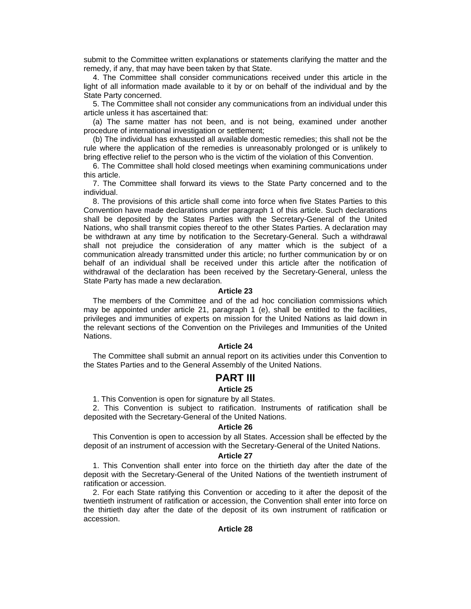submit to the Committee written explanations or statements clarifying the matter and the remedy, if any, that may have been taken by that State.

4. The Committee shall consider communications received under this article in the light of all information made available to it by or on behalf of the individual and by the State Party concerned.

5. The Committee shall not consider any communications from an individual under this article unless it has ascertained that:

(a) The same matter has not been, and is not being, examined under another procedure of international investigation or settlement;

(b) The individual has exhausted all available domestic remedies; this shall not be the rule where the application of the remedies is unreasonably prolonged or is unlikely to bring effective relief to the person who is the victim of the violation of this Convention.

6. The Committee shall hold closed meetings when examining communications under this article.

7. The Committee shall forward its views to the State Party concerned and to the individual.

8. The provisions of this article shall come into force when five States Parties to this Convention have made declarations under paragraph 1 of this article. Such declarations shall be deposited by the States Parties with the Secretary-General of the United Nations, who shall transmit copies thereof to the other States Parties. A declaration may be withdrawn at any time by notification to the Secretary-General. Such a withdrawal shall not prejudice the consideration of any matter which is the subject of a communication already transmitted under this article; no further communication by or on behalf of an individual shall be received under this article after the notification of withdrawal of the declaration has been received by the Secretary-General, unless the State Party has made a new declaration.

### **Article 23**

The members of the Committee and of the ad hoc conciliation commissions which may be appointed under article 21, paragraph 1 (e), shall be entitled to the facilities, privileges and immunities of experts on mission for the United Nations as laid down in the relevant sections of the Convention on the Privileges and Immunities of the United Nations.

### **Article 24**

The Committee shall submit an annual report on its activities under this Convention to the States Parties and to the General Assembly of the United Nations.

# **PART III**

### **Article 25**

1. This Convention is open for signature by all States.

2. This Convention is subject to ratification. Instruments of ratification shall be deposited with the Secretary-General of the United Nations.

#### **Article 26**

This Convention is open to accession by all States. Accession shall be effected by the deposit of an instrument of accession with the Secretary-General of the United Nations.

### **Article 27**

1. This Convention shall enter into force on the thirtieth day after the date of the deposit with the Secretary-General of the United Nations of the twentieth instrument of ratification or accession.

2. For each State ratifying this Convention or acceding to it after the deposit of the twentieth instrument of ratification or accession, the Convention shall enter into force on the thirtieth day after the date of the deposit of its own instrument of ratification or accession.

## **Article 28**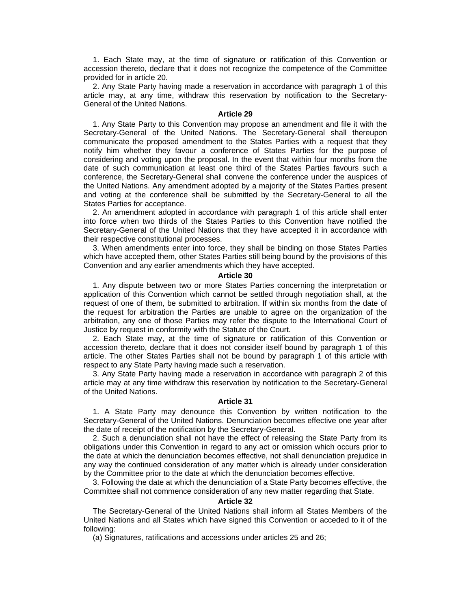1. Each State may, at the time of signature or ratification of this Convention or accession thereto, declare that it does not recognize the competence of the Committee provided for in article 20.

2. Any State Party having made a reservation in accordance with paragraph 1 of this article may, at any time, withdraw this reservation by notification to the Secretary-General of the United Nations.

# **Article 29**

1. Any State Party to this Convention may propose an amendment and file it with the Secretary-General of the United Nations. The Secretary-General shall thereupon communicate the proposed amendment to the States Parties with a request that they notify him whether they favour a conference of States Parties for the purpose of considering and voting upon the proposal. In the event that within four months from the date of such communication at least one third of the States Parties favours such a conference, the Secretary-General shall convene the conference under the auspices of the United Nations. Any amendment adopted by a majority of the States Parties present and voting at the conference shall be submitted by the Secretary-General to all the States Parties for acceptance.

2. An amendment adopted in accordance with paragraph 1 of this article shall enter into force when two thirds of the States Parties to this Convention have notified the Secretary-General of the United Nations that they have accepted it in accordance with their respective constitutional processes.

3. When amendments enter into force, they shall be binding on those States Parties which have accepted them, other States Parties still being bound by the provisions of this Convention and any earlier amendments which they have accepted.

### **Article 30**

1. Any dispute between two or more States Parties concerning the interpretation or application of this Convention which cannot be settled through negotiation shall, at the request of one of them, be submitted to arbitration. If within six months from the date of the request for arbitration the Parties are unable to agree on the organization of the arbitration, any one of those Parties may refer the dispute to the International Court of Justice by request in conformity with the Statute of the Court.

2. Each State may, at the time of signature or ratification of this Convention or accession thereto, declare that it does not consider itself bound by paragraph 1 of this article. The other States Parties shall not be bound by paragraph 1 of this article with respect to any State Party having made such a reservation.

3. Any State Party having made a reservation in accordance with paragraph 2 of this article may at any time withdraw this reservation by notification to the Secretary-General of the United Nations.

# **Article 31**

1. A State Party may denounce this Convention by written notification to the Secretary-General of the United Nations. Denunciation becomes effective one year after the date of receipt of the notification by the Secretary-General.

2. Such a denunciation shall not have the effect of releasing the State Party from its obligations under this Convention in regard to any act or omission which occurs prior to the date at which the denunciation becomes effective, not shall denunciation prejudice in any way the continued consideration of any matter which is already under consideration by the Committee prior to the date at which the denunciation becomes effective.

3. Following the date at which the denunciation of a State Party becomes effective, the Committee shall not commence consideration of any new matter regarding that State.

### **Article 32**

The Secretary-General of the United Nations shall inform all States Members of the United Nations and all States which have signed this Convention or acceded to it of the following:

(a) Signatures, ratifications and accessions under articles 25 and 26;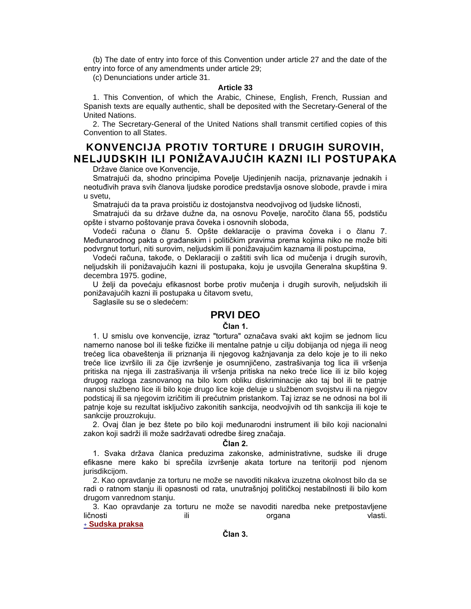(b) The date of entry into force of this Convention under article 27 and the date of the entry into force of any amendments under article 29;

(c) Denunciations under article 31.

### **Article 33**

1. This Convention, of which the Arabic, Chinese, English, French, Russian and Spanish texts are equally authentic, shall be deposited with the Secretary-General of the United Nations.

2. The Secretary-General of the United Nations shall transmit certified copies of this Convention to all States.

# **KONVENCIJA PROTIV TORTURE I DRUGIH SUROVIH, NELJUDSKIH ILI PONIŽAVAJUĆIH KAZNI ILI POSTUPAKA**

Države članice ove Konvencije,

Smatrajući da, shodno principima Povelje Ujedinjenih nacija, priznavanje jednakih i neotuđivih prava svih članova ljudske porodice predstavlja osnove slobode, pravde i mira u svetu,

Smatrajući da ta prava proističu iz dostojanstva neodvojivog od ljudske ličnosti,

Smatrajući da su države dužne da, na osnovu Povelje, naročito člana 55, podstiču opšte i stvarno poštovanje prava čoveka i osnovnih sloboda,

Vodeći računa o članu 5. Opšte deklaracije o pravima čoveka i o članu 7. Međunarodnog pakta o građanskim i političkim pravima prema kojima niko ne može biti podvrgnut torturi, niti surovim, neljudskim ili ponižavajućim kaznama ili postupcima,

Vodeći računa, takođe, o Deklaraciji o zaštiti svih lica od mučenja i drugih surovih, neljudskih ili ponižavajućih kazni ili postupaka, koju je usvojila Generalna skupština 9. decembra 1975. godine,

U želji da povećaju efikasnost borbe protiv mučenja i drugih surovih, neljudskih ili ponižavajućih kazni ili postupaka u čitavom svetu,

Saglasile su se o sledećem:

# **PRVI DEO**

### **Član 1.**

1. U smislu ove konvencije, izraz "tortura" označava svaki akt kojim se jednom licu namerno nanose bol ili teške fizičke ili mentalne patnje u cilju dobijanja od njega ili neog trećeg lica obaveštenja ili priznanja ili njegovog kažnjavanja za delo koje je to ili neko treće lice izvršilo ili za čije izvršenje je osumnjičeno, zastrašivanja tog lica ili vršenja pritiska na njega ili zastrašivanja ili vršenja pritiska na neko treće lice ili iz bilo kojeg drugog razloga zasnovanog na bilo kom obliku diskriminacije ako taj bol ili te patnje nanosi službeno lice ili bilo koje drugo lice koje deluje u službenom svojstvu ili na njegov podsticaj ili sa njegovim izričitim ili prećutnim pristankom. Taj izraz se ne odnosi na bol ili patnje koje su rezultat isključivo zakonitih sankcija, neodvojivih od tih sankcija ili koje te sankcije prouzrokuju.

2. Ovaj član je bez štete po bilo koji međunarodni instrument ili bilo koji nacionalni zakon koji sadrži ili može sadržavati odredbe šireg značaja.

### **Član 2.**

1. Svaka država članica preduzima zakonske, administrativne, sudske ili druge efikasne mere kako bi sprečila izvršenje akata torture na teritoriji pod njenom jurisdikcijom.

2. Kao opravdanje za torturu ne može se navoditi nikakva izuzetna okolnost bilo da se radi o ratnom stanju ili opasnosti od rata, unutrašnjoj političkoj nestabilnosti ili bilo kom drugom vanrednom stanju.

3. Kao opravdanje za torturu ne može se navoditi naredba neke pretpostavljene ličnosti ili organa vlasti.

**+ Sudska praksa**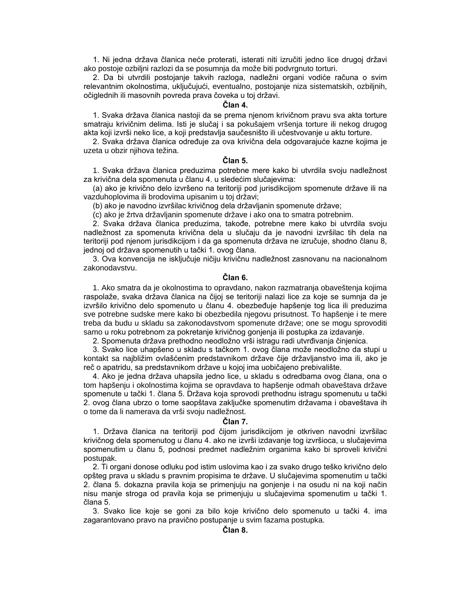1. Ni jedna država članica neće proterati, isterati niti izručiti jedno lice drugoj državi ako postoje ozbiljni razlozi da se posumnja da može biti podvrgnuto torturi.

2. Da bi utvrdili postojanje takvih razloga, nadležni organi vodiće računa o svim relevantnim okolnostima, uključujući, eventualno, postojanje niza sistematskih, ozbiljnih, očiglednih ili masovnih povreda prava čoveka u toj državi.

## **Član 4.**

1. Svaka država članica nastoji da se prema njenom krivičnom pravu sva akta torture smatraju krivičnim delima. Isti je slučaj i sa pokušajem vršenja torture ili nekog drugog akta koji izvrši neko lice, a koji predstavlja saučesništo ili učestvovanje u aktu torture.

2. Svaka država članica određuje za ova krivična dela odgovarajuće kazne kojima je uzeta u obzir njihova težina.

### **Član 5.**

1. Svaka država članica preduzima potrebne mere kako bi utvrdila svoju nadležnost za krivična dela spomenuta u članu 4. u sledećim slučajevima:

(a) ako je krivično delo izvršeno na teritoriji pod jurisdikcijom spomenute države ili na vazduhoplovima ili brodovima upisanim u toj državi;

(b) ako je navodno izvršilac krivičnog dela državljanin spomenute države;

(c) ako je žrtva državljanin spomenute države i ako ona to smatra potrebnim.

2. Svaka država članica preduzima, takođe, potrebne mere kako bi utvrdila svoju nadležnost za spomenuta krivična dela u slučaju da je navodni izvršilac tih dela na teritoriji pod njenom jurisdikcijom i da ga spomenuta država ne izručuje, shodno članu 8, jednoj od država spomenutih u tački 1. ovog člana.

3. Ova konvencija ne isključuje ničiju krivičnu nadležnost zasnovanu na nacionalnom zakonodavstvu.

# **Član 6.**

1. Ako smatra da je okolnostima to opravdano, nakon razmatranja obaveštenja kojima raspolaže, svaka država članica na čijoj se teritoriji nalazi lice za koje se sumnja da je izvršilo krivično delo spomenuto u članu 4. obezbeđuje hapšenje tog lica ili preduzima sve potrebne sudske mere kako bi obezbedila njegovu prisutnost. To hapšenje i te mere treba da budu u skladu sa zakonodavstvom spomenute države; one se mogu sprovoditi samo u roku potrebnom za pokretanje krivičnog gonjenja ili postupka za izdavanje.

2. Spomenuta država prethodno neodložno vrši istragu radi utvrđivanja činjenica.

3. Svako lice uhapšeno u skladu s tačkom 1. ovog člana može neodložno da stupi u kontakt sa najbližim ovlašćenim predstavnikom države čije državljanstvo ima ili, ako je reč o apatridu, sa predstavnikom države u kojoj ima uobičajeno prebivalište.

4. Ako je jedna država uhapsila jedno lice, u skladu s odredbama ovog člana, ona o tom hapšenju i okolnostima kojima se opravdava to hapšenje odmah obaveštava države spomenute u tački 1. člana 5. Država koja sprovodi prethodnu istragu spomenutu u tački 2. ovog člana ubrzo o tome saopštava zaključke spomenutim državama i obaveštava ih o tome da li namerava da vrši svoju nadležnost.

#### **Član 7.**

1. Država članica na teritoriji pod čijom jurisdikcijom je otkriven navodni izvršilac krivičnog dela spomenutog u članu 4. ako ne izvrši izdavanje tog izvršioca, u slučajevima spomenutim u članu 5, podnosi predmet nadležnim organima kako bi sproveli krivični postupak.

2. Ti organi donose odluku pod istim uslovima kao i za svako drugo teško krivično delo opšteg prava u skladu s pravnim propisima te države. U slučajevima spomenutim u tački 2. člana 5. dokazna pravila koja se primenjuju na gonjenje i na osudu ni na koji način nisu manje stroga od pravila koja se primenjuju u slučajevima spomenutim u tački 1. člana 5.

3. Svako lice koje se goni za bilo koje krivično delo spomenuto u tački 4. ima zagarantovano pravo na pravično postupanje u svim fazama postupka.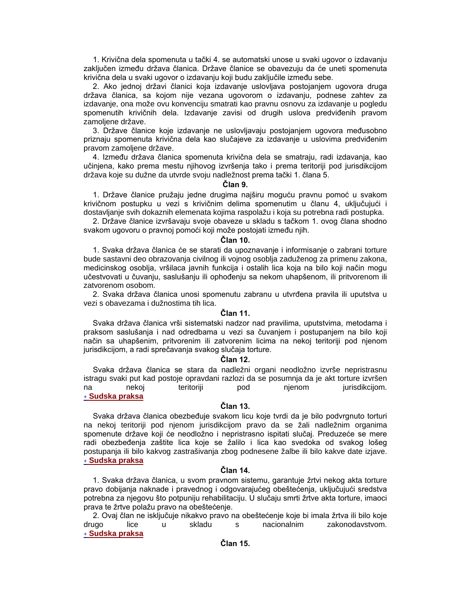1. Krivična dela spomenuta u tački 4. se automatski unose u svaki ugovor o izdavanju zaključen između država članica. Države članice se obavezuju da će uneti spomenuta krivična dela u svaki ugovor o izdavanju koji budu zaključile između sebe.

2. Ako jednoj državi članici koja izdavanje uslovljava postojanjem ugovora druga država članica, sa kojom nije vezana ugovorom o izdavanju, podnese zahtev za izdavanje, ona može ovu konvenciju smatrati kao pravnu osnovu za izdavanje u pogledu spomenutih krivičnih dela. Izdavanje zavisi od drugih uslova predviđenih pravom zamoljene države.

3. Države članice koje izdavanje ne uslovljavaju postojanjem ugovora međusobno priznaju spomenuta krivična dela kao slučajeve za izdavanje u uslovima predviđenim pravom zamoljene države.

4. Između država članica spomenuta krivična dela se smatraju, radi izdavanja, kao učinjena, kako prema mestu njihovog izvršenja tako i prema teritoriji pod jurisdikcijom država koje su dužne da utvrde svoju nadležnost prema tački 1. člana 5.

### **Član 9.**

1. Države članice pružaju jedne drugima najširu moguću pravnu pomoć u svakom krivičnom postupku u vezi s krivičnim delima spomenutim u članu 4, uključujući i dostavljanje svih dokaznih elemenata kojima raspolažu i koja su potrebna radi postupka.

2. Države članice izvršavaju svoje obaveze u skladu s tačkom 1. ovog člana shodno svakom ugovoru o pravnoj pomoći koji može postojati između njih.

### **Član 10.**

1. Svaka država članica će se starati da upoznavanje i informisanje o zabrani torture bude sastavni deo obrazovanja civilnog ili vojnog osoblja zaduženog za primenu zakona, medicinskog osoblja, vršilaca javnih funkcija i ostalih lica koja na bilo koji način mogu učestvovati u čuvanju, saslušanju ili ophođenju sa nekom uhapšenom, ili pritvorenom ili zatvorenom osobom.

2. Svaka država članica unosi spomenutu zabranu u utvrđena pravila ili uputstva u vezi s obavezama i dužnostima tih lica.

# **Član 11.**

Svaka država članica vrši sistematski nadzor nad pravilima, uputstvima, metodama i praksom saslušanja i nad odredbama u vezi sa čuvanjem i postupanjem na bilo koji način sa uhapšenim, pritvorenim ili zatvorenim licima na nekoj teritoriji pod njenom jurisdikcijom, a radi sprečavanja svakog slučaja torture.

## **Član 12.**

Svaka država članica se stara da nadležni organi neodložno izvrše nepristrasnu istragu svaki put kad postoje opravdani razlozi da se posumnja da je akt torture izvršen na nekoj teritoriji pod njenom jurisdikcijom. **+ Sudska praksa**

# **Član 13.**

Svaka država članica obezbeđuje svakom licu koje tvrdi da je bilo podvrgnuto torturi na nekoj teritoriji pod njenom jurisdikcijom pravo da se žali nadležnim organima spomenute države koji će neodložno i nepristrasno ispitati slučaj. Preduzeće se mere radi obezbeđenja zaštite lica koje se žalilo i lica kao svedoka od svakog lošeg postupanja ili bilo kakvog zastrašivanja zbog podnesene žalbe ili bilo kakve date izjave. **+ Sudska praksa**

# **Član 14.**

1. Svaka država članica, u svom pravnom sistemu, garantuje žrtvi nekog akta torture pravo dobijanja naknade i pravednog i odgovarajućeg obeštećenja, uključujući sredstva potrebna za njegovu što potpuniju rehabilitaciju. U slučaju smrti žrtve akta torture, imaoci prava te žrtve polažu pravo na obeštećenje.

2. Ovaj član ne isključuje nikakvo pravo na obeštećenje koje bi imala žrtva ili bilo koje bi imala žrtva ili b<br>drugo lice u skladu s nacionalnim zakonodavstvom. u skladu s nacionalnim zakonodavstvom. **+ Sudska praksa**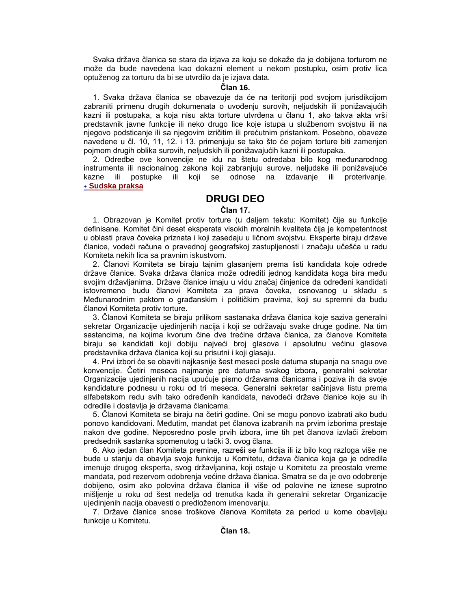Svaka država članica se stara da izjava za koju se dokaže da je dobijena torturom ne može da bude navedena kao dokazni element u nekom postupku, osim protiv lica optuženog za torturu da bi se utvrdilo da je izjava data.

### **Član 16.**

1. Svaka država članica se obavezuje da će na teritoriji pod svojom jurisdikcijom zabraniti primenu drugih dokumenata o uvođenju surovih, neljudskih ili ponižavajućih kazni ili postupaka, a koja nisu akta torture utvrđena u članu 1, ako takva akta vrši predstavnik javne funkcije ili neko drugo lice koje istupa u službenom svojstvu ili na njegovo podsticanje ili sa njegovim izričitim ili prećutnim pristankom. Posebno, obaveze navedene u čl. 10, 11, 12. i 13. primenjuju se tako što će pojam torture biti zamenjen pojmom drugih oblika surovih, neljudskih ili ponižavajućih kazni ili postupaka.

2. Odredbe ove konvencije ne idu na štetu odredaba bilo kog međunarodnog instrumenta ili nacionalnog zakona koji zabranjuju surove, neljudske ili ponižavajuće kazne ili postupke ili koji se odnose na izdavanje ili proterivanje. **+ Sudska praksa**

# **DRUGI DEO**

### **Član 17.**

1. Obrazovan je Komitet protiv torture (u daljem tekstu: Komitet) čije su funkcije definisane. Komitet čini deset eksperata visokih moralnih kvaliteta čija je kompetentnost u oblasti prava čoveka priznata i koji zasedaju u ličnom svojstvu. Eksperte biraju države članice, vodeći računa o pravednoj geografskoj zastupljenosti i značaju učešća u radu Komiteta nekih lica sa pravnim iskustvom.

2. Članovi Komiteta se biraju tajnim glasanjem prema listi kandidata koje odrede države članice. Svaka država članica može odrediti jednog kandidata koga bira među svojim državljanima. Države članice imaju u vidu značaj činjenice da određeni kandidati istovremeno budu članovi Komiteta za prava čoveka, osnovanog u skladu s Međunarodnim paktom o građanskim i političkim pravima, koji su spremni da budu članovi Komiteta protiv torture.

3. Članovi Komiteta se biraju prilikom sastanaka država članica koje saziva generalni sekretar Organizacije ujedinjenih nacija i koji se održavaju svake druge godine. Na tim sastancima, na kojima kvorum čine dve trećine država članica, za članove Komiteta biraju se kandidati koji dobiju najveći broj glasova i apsolutnu većinu glasova predstavnika država članica koji su prisutni i koji glasaju.

4. Prvi izbori će se obaviti najkasnije šest meseci posle datuma stupanja na snagu ove konvencije. Četiri meseca najmanje pre datuma svakog izbora, generalni sekretar Organizacije ujedinjenih nacija upućuje pismo državama članicama i poziva ih da svoje kandidature podnesu u roku od tri meseca. Generalni sekretar sačinjava listu prema alfabetskom redu svih tako određenih kandidata, navodeći države članice koje su ih odredile i dostavlja je državama članicama.

5. Članovi Komiteta se biraju na četiri godine. Oni se mogu ponovo izabrati ako budu ponovo kandidovani. Međutim, mandat pet članova izabranih na prvim izborima prestaje nakon dve godine. Neposredno posle prvih izbora, ime tih pet članova izvlači žrebom predsednik sastanka spomenutog u tački 3. ovog člana.

6. Ako jedan član Komiteta premine, razreši se funkcija ili iz bilo kog razloga više ne bude u stanju da obavlja svoje funkcije u Komitetu, država članica koja ga je odredila imenuje drugog eksperta, svog državljanina, koji ostaje u Komitetu za preostalo vreme mandata, pod rezervom odobrenja većine država članica. Smatra se da je ovo odobrenje dobijeno, osim ako polovina država članica ili više od polovine ne iznese suprotno mišljenje u roku od šest nedelja od trenutka kada ih generalni sekretar Organizacije ujedinjenih nacija obavesti o predloženom imenovanju.

7. Države članice snose troškove članova Komiteta za period u kome obavljaju funkcije u Komitetu.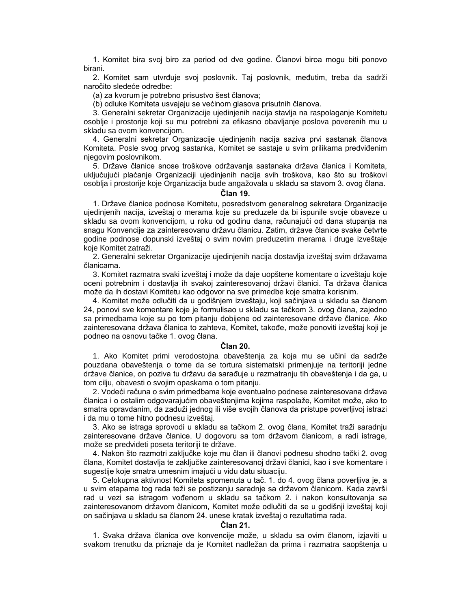1. Komitet bira svoj biro za period od dve godine. Članovi biroa mogu biti ponovo birani.

2. Komitet sam utvrđuje svoj poslovnik. Taj poslovnik, međutim, treba da sadrži naročito sledeće odredbe:

(a) za kvorum je potrebno prisustvo šest članova;

(b) odluke Komiteta usvajaju se većinom glasova prisutnih članova.

3. Generalni sekretar Organizacije ujedinjenih nacija stavlja na raspolaganje Komitetu osoblje i prostorije koji su mu potrebni za efikasno obavljanje poslova poverenih mu u skladu sa ovom konvencijom.

4. Generalni sekretar Organizacije ujedinjenih nacija saziva prvi sastanak članova Komiteta. Posle svog prvog sastanka, Komitet se sastaje u svim prilikama predviđenim njegovim poslovnikom.

5. Države članice snose troškove održavanja sastanaka država članica i Komiteta, uključujući plaćanje Organizaciji ujedinjenih nacija svih troškova, kao što su troškovi osoblja i prostorije koje Organizacija bude angažovala u skladu sa stavom 3. ovog člana.

# **Član 19.**

1. Države članice podnose Komitetu, posredstvom generalnog sekretara Organizacije ujedinjenih nacija, izveštaj o merama koje su preduzele da bi ispunile svoje obaveze u skladu sa ovom konvencijom, u roku od godinu dana, računajući od dana stupanja na snagu Konvencije za zainteresovanu državu članicu. Zatim, države članice svake četvrte godine podnose dopunski izveštaj o svim novim preduzetim merama i druge izveštaje koje Komitet zatraži.

2. Generalni sekretar Organizacije ujedinjenih nacija dostavlja izveštaj svim državama članicama.

3. Komitet razmatra svaki izveštaj i može da daje uopštene komentare o izveštaju koje oceni potrebnim i dostavlja ih svakoj zainteresovanoj državi članici. Ta država članica može da ih dostavi Komitetu kao odgovor na sve primedbe koje smatra korisnim.

4. Komitet može odlučiti da u godišnjem izveštaju, koji sačinjava u skladu sa članom 24, ponovi sve komentare koje je formulisao u skladu sa tačkom 3. ovog člana, zajedno sa primedbama koje su po tom pitanju dobijene od zainteresovane države članice. Ako zainteresovana država članica to zahteva, Komitet, takođe, može ponoviti izveštaj koji je podneo na osnovu tačke 1. ovog člana.

### **Član 20.**

1. Ako Komitet primi verodostojna obaveštenja za koja mu se učini da sadrže pouzdana obaveštenja o tome da se tortura sistematski primenjuje na teritoriji jedne države članice, on poziva tu državu da sarađuje u razmatranju tih obaveštenja i da ga, u tom cilju, obavesti o svojim opaskama o tom pitanju.

2. Vodeći računa o svim primedbama koje eventualno podnese zainteresovana država članica i o ostalim odgovarajućim obaveštenjima kojima raspolaže, Komitet može, ako to smatra opravdanim, da zaduži jednog ili više svojih članova da pristupe poverljivoj istrazi i da mu o tome hitno podnesu izveštaj.

3. Ako se istraga sprovodi u skladu sa tačkom 2. ovog člana, Komitet traži saradnju zainteresovane države članice. U dogovoru sa tom državom članicom, a radi istrage, može se predvideti poseta teritoriji te države.

4. Nakon što razmotri zaključke koje mu član ili članovi podnesu shodno tački 2. ovog člana, Komitet dostavlja te zaključke zainteresovanoj državi članici, kao i sve komentare i sugestije koje smatra umesnim imajući u vidu datu situaciju.

5. Celokupna aktivnost Komiteta spomenuta u tač. 1. do 4. ovog člana poverljiva je, a u svim etapama tog rada teži se postizanju saradnje sa državom članicom. Kada završi rad u vezi sa istragom vođenom u skladu sa tačkom 2. i nakon konsultovanja sa zainteresovanom državom članicom, Komitet može odlučiti da se u godišnji izveštaj koji on sačinjava u skladu sa članom 24. unese kratak izveštaj o rezultatima rada.

### **Član 21.**

1. Svaka država članica ove konvencije može, u skladu sa ovim članom, izjaviti u svakom trenutku da priznaje da je Komitet nadležan da prima i razmatra saopštenja u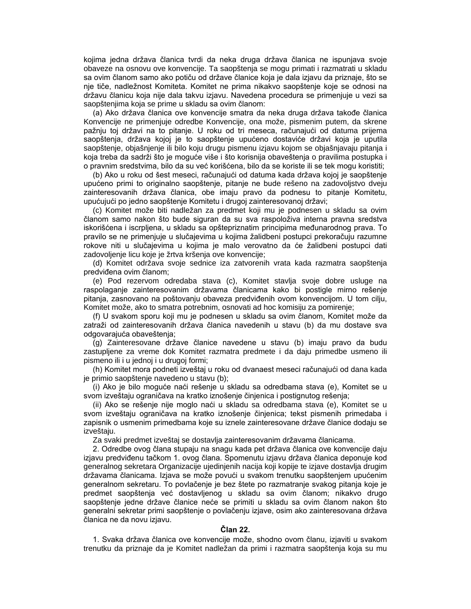kojima jedna država članica tvrdi da neka druga država članica ne ispunjava svoje obaveze na osnovu ove konvencije. Ta saopštenja se mogu primati i razmatrati u skladu sa ovim članom samo ako potiču od države članice koja je dala izjavu da priznaje, što se nje tiče, nadležnost Komiteta. Komitet ne prima nikakvo saopštenje koje se odnosi na državu članicu koja nije dala takvu izjavu. Navedena procedura se primenjuje u vezi sa saopštenjima koja se prime u skladu sa ovim članom:

(a) Ako država članica ove konvencije smatra da neka druga država takođe članica Konvencije ne primenjuje odredbe Konvencije, ona može, pismenim putem, da skrene pažnju toj državi na to pitanje. U roku od tri meseca, računajući od datuma prijema saopštenja, država kojoj je to saopštenje upućeno dostaviće državi koja je uputila saopštenje, objašnjenje ili bilo koju drugu pismenu izjavu kojom se objašnjavaju pitanja i koja treba da sadrži što je moguće više i što korisnija obaveštenja o pravilima postupka i o pravnim sredstvima, bilo da su već korišćena, bilo da se koriste ili se tek mogu koristiti;

(b) Ako u roku od šest meseci, računajući od datuma kada država kojoj je saopštenje upućeno primi to originalno saopštenje, pitanje ne bude rešeno na zadovoljstvo dveju zainteresovanih država članica, obe imaju pravo da podnesu to pitanje Komitetu, upućujući po jedno saopštenje Komitetu i drugoj zainteresovanoj državi;

(c) Komitet može biti nadležan za predmet koji mu je podnesen u skladu sa ovim članom samo nakon što bude siguran da su sva raspoloživa interna pravna sredstva iskorišćena i iscrpljena, u skladu sa opštepriznatim principima međunarodnog prava. To pravilo se ne primenjuje u slučajevima u kojima žalidbeni postupci prekoračuju razumne rokove niti u slučajevima u kojima je malo verovatno da će žalidbeni postupci dati zadovoljenje licu koje je žrtva kršenja ove konvencije;

(d) Komitet održava svoje sednice iza zatvorenih vrata kada razmatra saopštenja predviđena ovim članom;

(e) Pod rezervom odredaba stava (c), Komitet stavlja svoje dobre usluge na raspolaganje zainteresovanim državama članicama kako bi postigle mirno rešenje pitanja, zasnovano na poštovanju obaveza predviđenih ovom konvencijom. U tom cilju, Komitet može, ako to smatra potrebnim, osnovati ad hoc komisiju za pomirenje;

(f) U svakom sporu koji mu je podnesen u skladu sa ovim članom, Komitet može da zatraži od zainteresovanih država članica navedenih u stavu (b) da mu dostave sva odgovarajuća obaveštenja;

(g) Zainteresovane države članice navedene u stavu (b) imaju pravo da budu zastupljene za vreme dok Komitet razmatra predmete i da daju primedbe usmeno ili pismeno ili i u jednoj i u drugoj formi;

(h) Komitet mora podneti izveštaj u roku od dvanaest meseci računajući od dana kada je primio saopštenje navedeno u stavu (b);

(i) Ako je bilo moguće naći rešenje u skladu sa odredbama stava (e), Komitet se u svom izveštaju ograničava na kratko iznošenje činjenica i postignutog rešenja;

(ii) Ako se rešenje nije moglo naći u skladu sa odredbama stava (e), Komitet se u svom izveštaju ograničava na kratko iznošenje činjenica; tekst pismenih primedaba i zapisnik o usmenim primedbama koje su iznele zainteresovane države članice dodaju se izveštaju.

Za svaki predmet izveštaj se dostavlja zainteresovanim državama članicama.

2. Odredbe ovog člana stupaju na snagu kada pet država članica ove konvencije daju izjavu predviđenu tačkom 1. ovog člana. Spomenutu izjavu država članica deponuje kod generalnog sekretara Organizacije ujedinjenih nacija koji kopije te izjave dostavlja drugim državama članicama. Izjava se može povući u svakom trenutku saopštenjem upućenim generalnom sekretaru. To povlačenje je bez štete po razmatranje svakog pitanja koje je predmet saopštenja već dostavljenog u skladu sa ovim članom; nikakvo drugo saopštenje jedne države članice neće se primiti u skladu sa ovim članom nakon što generalni sekretar primi saopštenje o povlačenju izjave, osim ako zainteresovana država članica ne da novu izjavu.

### **Član 22.**

1. Svaka država članica ove konvencije može, shodno ovom članu, izjaviti u svakom trenutku da priznaje da je Komitet nadležan da primi i razmatra saopštenja koja su mu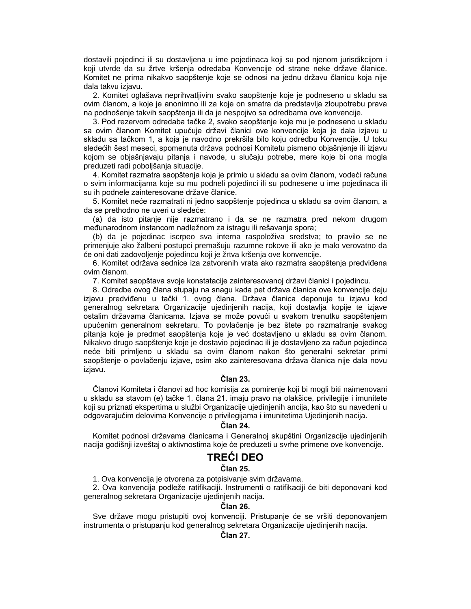dostavili pojedinci ili su dostavljena u ime pojedinaca koji su pod njenom jurisdikcijom i koji utvrde da su žrtve kršenja odredaba Konvencije od strane neke države članice. Komitet ne prima nikakvo saopštenje koje se odnosi na jednu državu članicu koja nije dala takvu izjavu.

2. Komitet oglašava neprihvatljivim svako saopštenje koje je podneseno u skladu sa ovim članom, a koje je anonimno ili za koje on smatra da predstavlja zloupotrebu prava na podnošenje takvih saopštenja ili da je nespojivo sa odredbama ove konvencije.

3. Pod rezervom odredaba tačke 2, svako saopštenje koje mu je podneseno u skladu sa ovim članom Komitet upućuje državi članici ove konvencije koja je dala izjavu u skladu sa tačkom 1, a koja je navodno prekršila bilo koju odredbu Konvencije. U toku sledećih šest meseci, spomenuta država podnosi Komitetu pismeno objašnjenje ili izjavu kojom se objašnjavaju pitanja i navode, u slučaju potrebe, mere koje bi ona mogla preduzeti radi poboljšanja situacije.

4. Komitet razmatra saopštenja koja je primio u skladu sa ovim članom, vodeći računa o svim informacijama koje su mu podneli pojedinci ili su podnesene u ime pojedinaca ili su ih podnele zainteresovane države članice.

5. Komitet neće razmatrati ni jedno saopštenje pojedinca u skladu sa ovim članom, a da se prethodno ne uveri u sledeće:

(a) da isto pitanje nije razmatrano i da se ne razmatra pred nekom drugom međunarodnom instancom nadležnom za istragu ili rešavanje spora;

(b) da je pojedinac iscrpeo sva interna raspoloživa sredstva; to pravilo se ne primenjuje ako žalbeni postupci premašuju razumne rokove ili ako je malo verovatno da će oni dati zadovoljenje pojedincu koji je žrtva kršenja ove konvencije.

6. Komitet održava sednice iza zatvorenih vrata ako razmatra saopštenja predviđena ovim članom.

7. Komitet saopštava svoje konstatacije zainteresovanoj državi članici i pojedincu.

8. Odredbe ovog člana stupaju na snagu kada pet država članica ove konvencije daju izjavu predviđenu u tački 1. ovog člana. Država članica deponuje tu izjavu kod generalnog sekretara Organizacije ujedinjenih nacija, koji dostavlja kopije te izjave ostalim državama članicama. Izjava se može povući u svakom trenutku saopštenjem upućenim generalnom sekretaru. To povlačenje je bez štete po razmatranje svakog pitanja koje je predmet saopštenja koje je već dostavljeno u skladu sa ovim članom. Nikakvo drugo saopštenje koje je dostavio pojedinac ili je dostavljeno za račun pojedinca neće biti primljeno u skladu sa ovim članom nakon što generalni sekretar primi saopštenje o povlačenju izjave, osim ako zainteresovana država članica nije dala novu iziavu.

## **Član 23.**

Članovi Komiteta i članovi ad hoc komisija za pomirenje koji bi mogli biti naimenovani u skladu sa stavom (e) tačke 1. člana 21. imaju pravo na olakšice, privilegije i imunitete koji su priznati ekspertima u službi Organizacije ujedinjenih ancija, kao što su navedeni u odgovarajućim delovima Konvencije o privilegijama i imunitetima Ujedinjenih nacija.

### **Član 24.**

Komitet podnosi državama članicama i Generalnoj skupštini Organizacije ujedinjenih nacija godišnji izveštaj o aktivnostima koje će preduzeti u svrhe primene ove konvencije.

# **TREĆI DEO**

# **Član 25.**

1. Ova konvencija je otvorena za potpisivanje svim državama.

2. Ova konvencija podleže ratifikaciji. Instrumenti o ratifikaciji će biti deponovani kod generalnog sekretara Organizacije ujedinjenih nacija.

# **Član 26.**

Sve države mogu pristupiti ovoj konvenciji. Pristupanje će se vršiti deponovanjem instrumenta o pristupanju kod generalnog sekretara Organizacije ujedinjenih nacija.

### **Član 27.**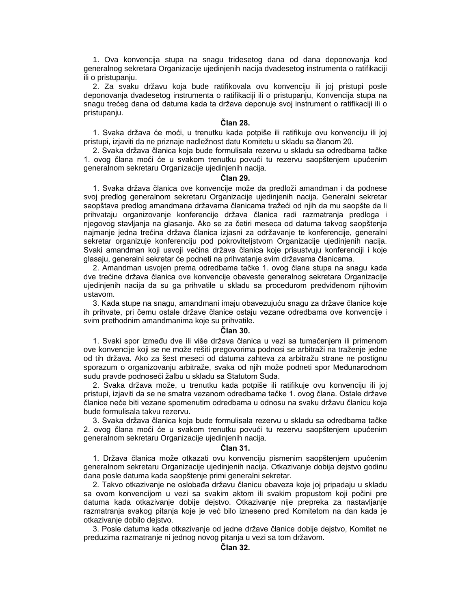1. Ova konvencija stupa na snagu tridesetog dana od dana deponovanja kod generalnog sekretara Organizacije ujedinjenih nacija dvadesetog instrumenta o ratifikaciji ili o pristupanju.

2. Za svaku državu koja bude ratifikovala ovu konvenciju ili joj pristupi posle deponovanja dvadesetog instrumenta o ratifikaciji ili o pristupanju, Konvencija stupa na snagu trećeg dana od datuma kada ta država deponuje svoj instrument o ratifikaciji ili o pristupanju.

# **Član 28.**

1. Svaka država će moći, u trenutku kada potpiše ili ratifikuje ovu konvenciju ili joj pristupi, izjaviti da ne priznaje nadležnost datu Komitetu u skladu sa članom 20.

2. Svaka država članica koja bude formulisala rezervu u skladu sa odredbama tačke 1. ovog člana moći će u svakom trenutku povući tu rezervu saopštenjem upućenim generalnom sekretaru Organizacije ujedinjenih nacija.

## **Član 29.**

1. Svaka država članica ove konvencije može da predloži amandman i da podnese svoj predlog generalnom sekretaru Organizacije ujedinjenih nacija. Generalni sekretar saopštava predlog amandmana državama članicama tražeći od njih da mu saopšte da li prihvataju organizovanje konferencije država članica radi razmatranja predloga i njegovog stavljanja na glasanje. Ako se za četiri meseca od datuma takvog saopštenja najmanje jedna trećina država članica izjasni za održavanje te konferencije, generalni sekretar organizuje konferenciju pod pokroviteljstvom Organizacije ujedinjenih nacija. Svaki amandman koji usvoji većina država članica koje prisustvuju konferenciji i koje glasaju, generalni sekretar će podneti na prihvatanje svim državama članicama.

2. Amandman usvojen prema odredbama tačke 1. ovog člana stupa na snagu kada dve trećine država članica ove konvencije obaveste generalnog sekretara Organizacije ujedinjenih nacija da su ga prihvatile u skladu sa procedurom predviđenom njihovim ustavom.

3. Kada stupe na snagu, amandmani imaju obavezujuću snagu za države članice koje ih prihvate, pri čemu ostale države članice ostaju vezane odredbama ove konvencije i svim prethodnim amandmanima koje su prihvatile.

## **Član 30.**

1. Svaki spor između dve ili više država članica u vezi sa tumačenjem ili primenom ove konvencije koji se ne može rešiti pregovorima podnosi se arbitraži na traženje jedne od tih država. Ako za šest meseci od datuma zahteva za arbitražu strane ne postignu sporazum o organizovanju arbitraže, svaka od njih može podneti spor Međunarodnom sudu pravde podnoseći žalbu u skladu sa Statutom Suda.

2. Svaka država može, u trenutku kada potpiše ili ratifikuje ovu konvenciju ili joj pristupi, izjaviti da se ne smatra vezanom odredbama tačke 1. ovog člana. Ostale države članice neće biti vezane spomenutim odredbama u odnosu na svaku državu članicu koja bude formulisala takvu rezervu.

3. Svaka država članica koja bude formulisala rezervu u skladu sa odredbama tačke 2. ovog člana moći će u svakom trenutku povući tu rezervu saopštenjem upućenim generalnom sekretaru Organizacije ujedinjenih nacija.

### **Član 31.**

1. Država članica može otkazati ovu konvenciju pismenim saopštenjem upućenim generalnom sekretaru Organizacije ujedinjenih nacija. Otkazivanje dobija dejstvo godinu dana posle datuma kada saopštenje primi generalni sekretar.

2. Takvo otkazivanje ne oslobađa državu članicu obaveza koje joj pripadaju u skladu sa ovom konvencijom u vezi sa svakim aktom ili svakim propustom koji počini pre datuma kada otkazivanje dobije dejstvo. Otkazivanje nije prepreka za nastavljanje razmatranja svakog pitanja koje je već bilo izneseno pred Komitetom na dan kada je otkazivanje dobilo dejstvo.

3. Posle datuma kada otkazivanje od jedne države članice dobije dejstvo, Komitet ne preduzima razmatranje ni jednog novog pitanja u vezi sa tom državom.